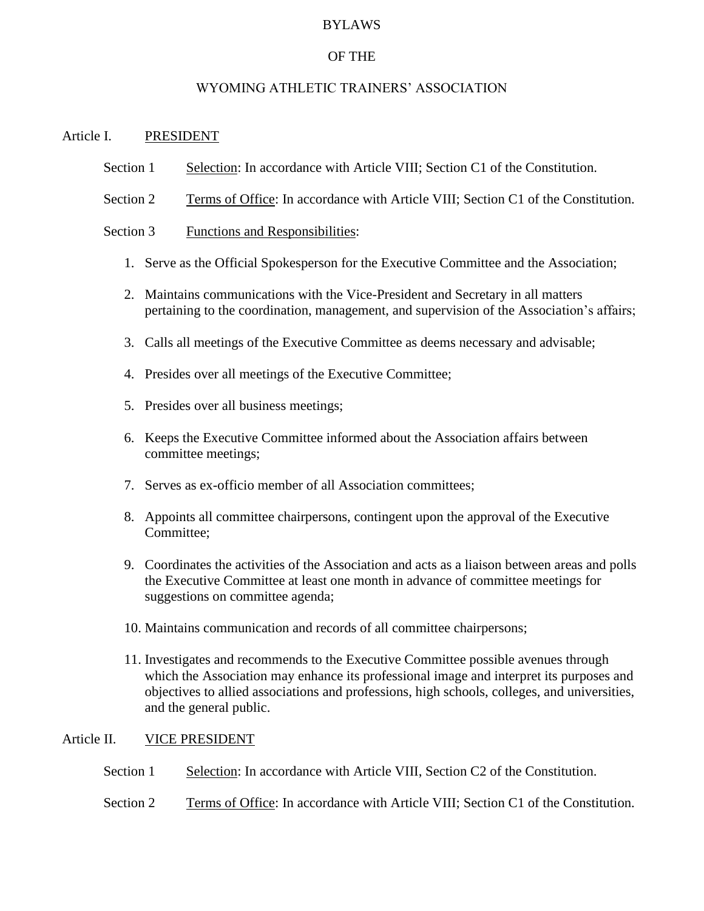#### BYLAWS

### OF THE

### WYOMING ATHLETIC TRAINERS' ASSOCIATION

### Article I. PRESIDENT

- Section 1 Selection: In accordance with Article VIII; Section C1 of the Constitution.
- Section 2 Terms of Office: In accordance with Article VIII; Section C1 of the Constitution.

### Section 3 Functions and Responsibilities:

- 1. Serve as the Official Spokesperson for the Executive Committee and the Association;
- 2. Maintains communications with the Vice-President and Secretary in all matters pertaining to the coordination, management, and supervision of the Association's affairs;
- 3. Calls all meetings of the Executive Committee as deems necessary and advisable;
- 4. Presides over all meetings of the Executive Committee;
- 5. Presides over all business meetings;
- 6. Keeps the Executive Committee informed about the Association affairs between committee meetings;
- 7. Serves as ex-officio member of all Association committees;
- 8. Appoints all committee chairpersons, contingent upon the approval of the Executive Committee;
- 9. Coordinates the activities of the Association and acts as a liaison between areas and polls the Executive Committee at least one month in advance of committee meetings for suggestions on committee agenda;
- 10. Maintains communication and records of all committee chairpersons;
- 11. Investigates and recommends to the Executive Committee possible avenues through which the Association may enhance its professional image and interpret its purposes and objectives to allied associations and professions, high schools, colleges, and universities, and the general public.

#### Article II. VICE PRESIDENT

- Section 1 Selection: In accordance with Article VIII, Section C2 of the Constitution.
- Section 2 Terms of Office: In accordance with Article VIII; Section C1 of the Constitution.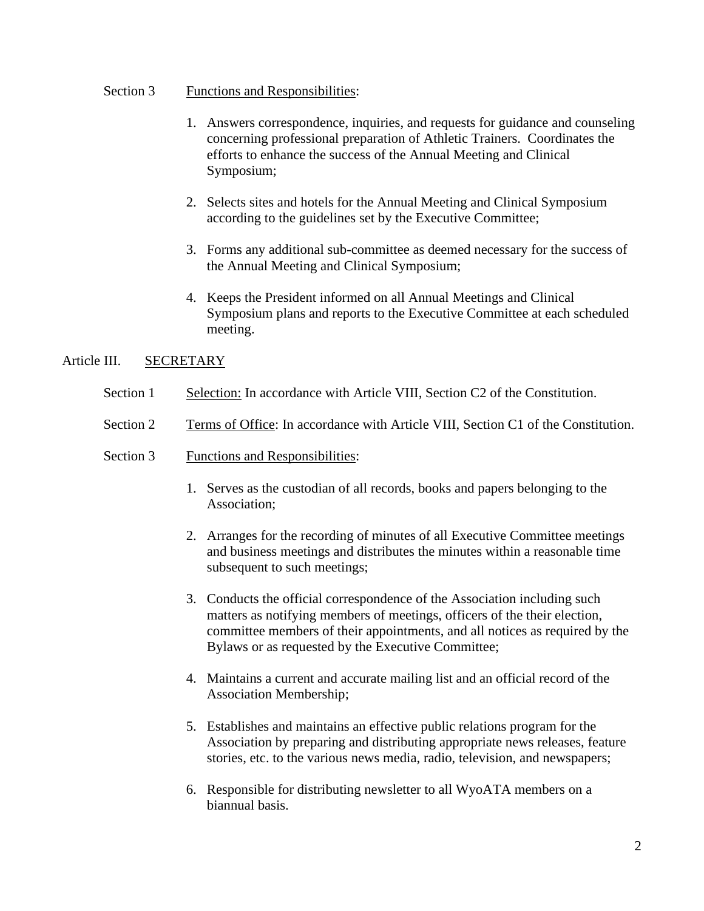#### Section 3 Functions and Responsibilities:

- 1. Answers correspondence, inquiries, and requests for guidance and counseling concerning professional preparation of Athletic Trainers. Coordinates the efforts to enhance the success of the Annual Meeting and Clinical Symposium;
- 2. Selects sites and hotels for the Annual Meeting and Clinical Symposium according to the guidelines set by the Executive Committee;
- 3. Forms any additional sub-committee as deemed necessary for the success of the Annual Meeting and Clinical Symposium;
- 4. Keeps the President informed on all Annual Meetings and Clinical Symposium plans and reports to the Executive Committee at each scheduled meeting.

### Article III. SECRETARY

- Section 1 Selection: In accordance with Article VIII, Section C2 of the Constitution.
- Section 2 Terms of Office: In accordance with Article VIII, Section C1 of the Constitution.
- Section 3 Functions and Responsibilities:
	- 1. Serves as the custodian of all records, books and papers belonging to the Association;
	- 2. Arranges for the recording of minutes of all Executive Committee meetings and business meetings and distributes the minutes within a reasonable time subsequent to such meetings;
	- 3. Conducts the official correspondence of the Association including such matters as notifying members of meetings, officers of the their election, committee members of their appointments, and all notices as required by the Bylaws or as requested by the Executive Committee;
	- 4. Maintains a current and accurate mailing list and an official record of the Association Membership;
	- 5. Establishes and maintains an effective public relations program for the Association by preparing and distributing appropriate news releases, feature stories, etc. to the various news media, radio, television, and newspapers;
	- 6. Responsible for distributing newsletter to all WyoATA members on a biannual basis.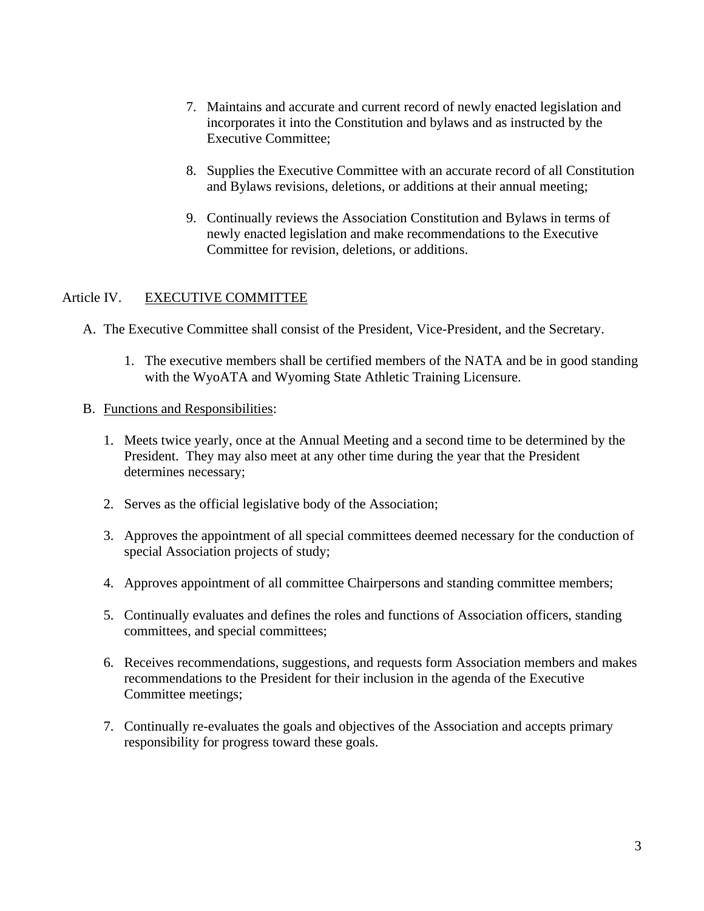- 7. Maintains and accurate and current record of newly enacted legislation and incorporates it into the Constitution and bylaws and as instructed by the Executive Committee;
- 8. Supplies the Executive Committee with an accurate record of all Constitution and Bylaws revisions, deletions, or additions at their annual meeting;
- 9. Continually reviews the Association Constitution and Bylaws in terms of newly enacted legislation and make recommendations to the Executive Committee for revision, deletions, or additions.

### Article IV. EXECUTIVE COMMITTEE

- A. The Executive Committee shall consist of the President, Vice-President, and the Secretary.
	- 1. The executive members shall be certified members of the NATA and be in good standing with the WyoATA and Wyoming State Athletic Training Licensure.
- B. Functions and Responsibilities:
	- 1. Meets twice yearly, once at the Annual Meeting and a second time to be determined by the President. They may also meet at any other time during the year that the President determines necessary;
	- 2. Serves as the official legislative body of the Association;
	- 3. Approves the appointment of all special committees deemed necessary for the conduction of special Association projects of study;
	- 4. Approves appointment of all committee Chairpersons and standing committee members;
	- 5. Continually evaluates and defines the roles and functions of Association officers, standing committees, and special committees;
	- 6. Receives recommendations, suggestions, and requests form Association members and makes recommendations to the President for their inclusion in the agenda of the Executive Committee meetings;
	- 7. Continually re-evaluates the goals and objectives of the Association and accepts primary responsibility for progress toward these goals.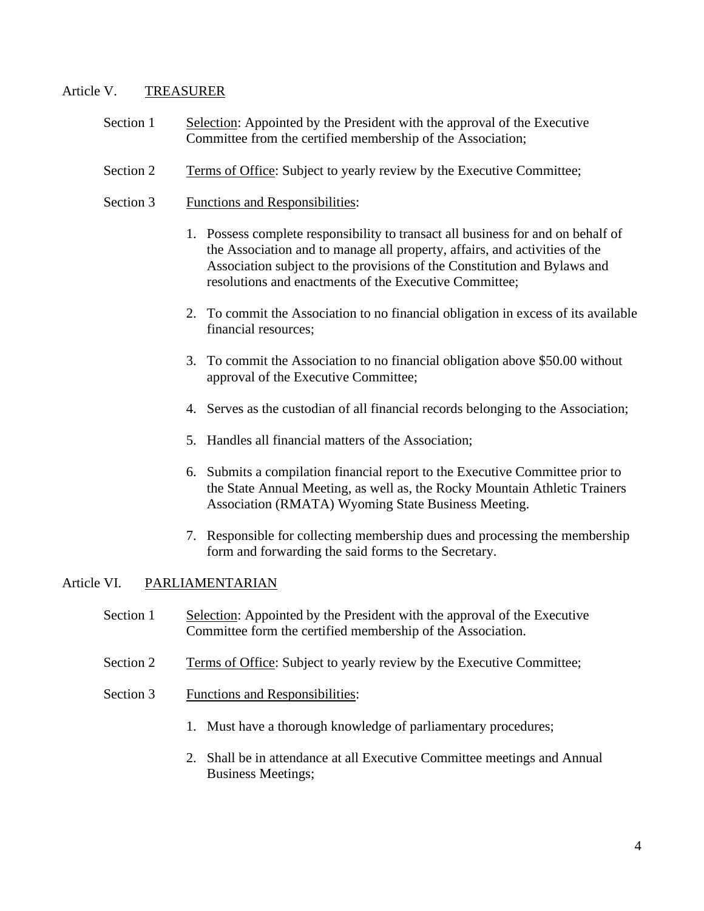#### Article V. TREASURER

- Section 1 Selection: Appointed by the President with the approval of the Executive Committee from the certified membership of the Association;
- Section 2 Terms of Office: Subject to yearly review by the Executive Committee;
- Section 3 Functions and Responsibilities:
	- 1. Possess complete responsibility to transact all business for and on behalf of the Association and to manage all property, affairs, and activities of the Association subject to the provisions of the Constitution and Bylaws and resolutions and enactments of the Executive Committee;
	- 2. To commit the Association to no financial obligation in excess of its available financial resources;
	- 3. To commit the Association to no financial obligation above \$50.00 without approval of the Executive Committee;
	- 4. Serves as the custodian of all financial records belonging to the Association;
	- 5. Handles all financial matters of the Association;
	- 6. Submits a compilation financial report to the Executive Committee prior to the State Annual Meeting, as well as, the Rocky Mountain Athletic Trainers Association (RMATA) Wyoming State Business Meeting.
	- 7. Responsible for collecting membership dues and processing the membership form and forwarding the said forms to the Secretary.

#### Article VI. PARLIAMENTARIAN

- Section 1 Selection: Appointed by the President with the approval of the Executive Committee form the certified membership of the Association.
- Section 2 Terms of Office: Subject to yearly review by the Executive Committee;
- Section 3 Functions and Responsibilities:
	- 1. Must have a thorough knowledge of parliamentary procedures;
	- 2. Shall be in attendance at all Executive Committee meetings and Annual Business Meetings;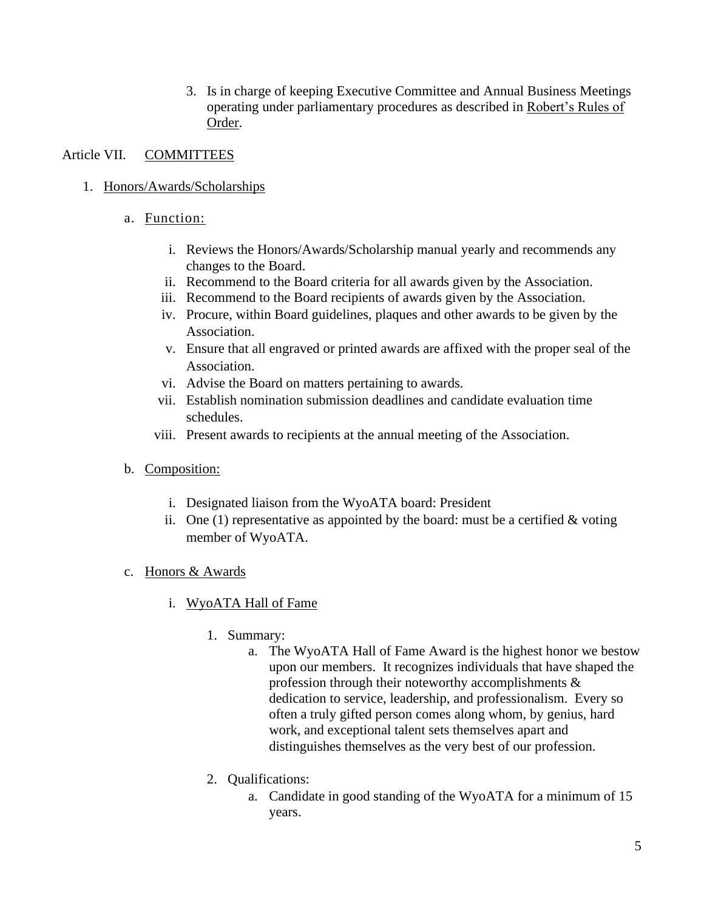3. Is in charge of keeping Executive Committee and Annual Business Meetings operating under parliamentary procedures as described in Robert's Rules of Order.

## Article VII. COMMITTEES

- 1. Honors/Awards/Scholarships
	- a. Function:
		- i. Reviews the Honors/Awards/Scholarship manual yearly and recommends any changes to the Board.
		- ii. Recommend to the Board criteria for all awards given by the Association.
		- iii. Recommend to the Board recipients of awards given by the Association.
		- iv. Procure, within Board guidelines, plaques and other awards to be given by the Association.
		- v. Ensure that all engraved or printed awards are affixed with the proper seal of the Association.
		- vi. Advise the Board on matters pertaining to awards.
		- vii. Establish nomination submission deadlines and candidate evaluation time schedules.
		- viii. Present awards to recipients at the annual meeting of the Association.
	- b. Composition:
		- i. Designated liaison from the WyoATA board: President
		- ii. One (1) representative as appointed by the board: must be a certified  $&$  voting member of WyoATA.
	- c. Honors & Awards
		- i. WyoATA Hall of Fame
			- 1. Summary:
				- a. The WyoATA Hall of Fame Award is the highest honor we bestow upon our members. It recognizes individuals that have shaped the profession through their noteworthy accomplishments & dedication to service, leadership, and professionalism. Every so often a truly gifted person comes along whom, by genius, hard work, and exceptional talent sets themselves apart and distinguishes themselves as the very best of our profession.
			- 2. Qualifications:
				- a. Candidate in good standing of the WyoATA for a minimum of 15 years.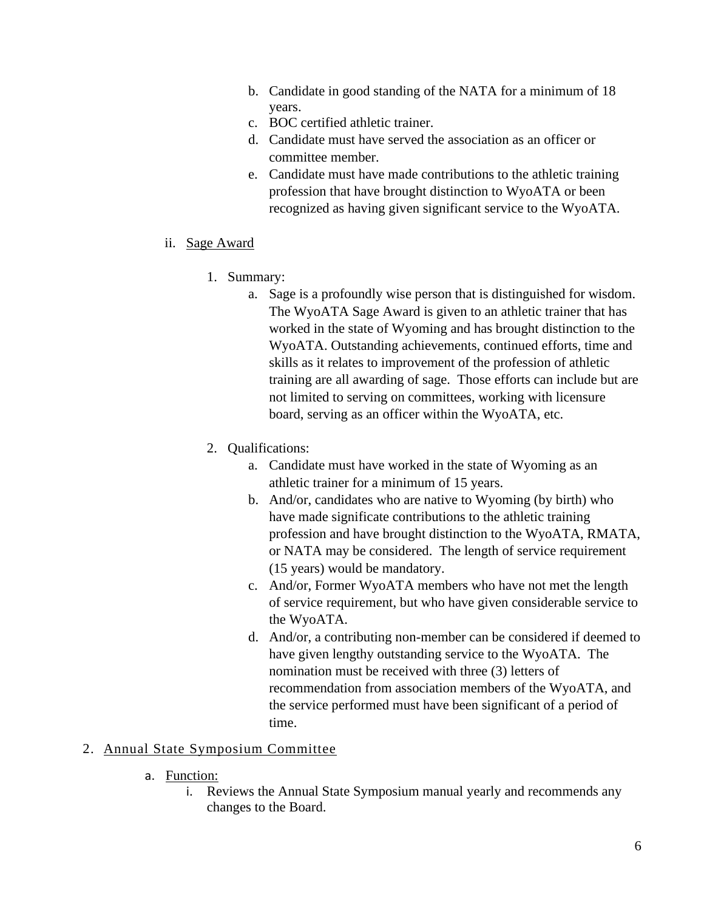- b. Candidate in good standing of the NATA for a minimum of 18 years.
- c. BOC certified athletic trainer.
- d. Candidate must have served the association as an officer or committee member.
- e. Candidate must have made contributions to the athletic training profession that have brought distinction to WyoATA or been recognized as having given significant service to the WyoATA.
- ii. Sage Award
	- 1. Summary:
		- a. Sage is a profoundly wise person that is distinguished for wisdom. The WyoATA Sage Award is given to an athletic trainer that has worked in the state of Wyoming and has brought distinction to the WyoATA. Outstanding achievements, continued efforts, time and skills as it relates to improvement of the profession of athletic training are all awarding of sage. Those efforts can include but are not limited to serving on committees, working with licensure board, serving as an officer within the WyoATA, etc.
	- 2. Qualifications:
		- a. Candidate must have worked in the state of Wyoming as an athletic trainer for a minimum of 15 years.
		- b. And/or, candidates who are native to Wyoming (by birth) who have made significate contributions to the athletic training profession and have brought distinction to the WyoATA, RMATA, or NATA may be considered. The length of service requirement (15 years) would be mandatory.
		- c. And/or, Former WyoATA members who have not met the length of service requirement, but who have given considerable service to the WyoATA.
		- d. And/or, a contributing non-member can be considered if deemed to have given lengthy outstanding service to the WyoATA. The nomination must be received with three (3) letters of recommendation from association members of the WyoATA, and the service performed must have been significant of a period of time.

### 2. Annual State Symposium Committee

- a. Function:
	- i. Reviews the Annual State Symposium manual yearly and recommends any changes to the Board.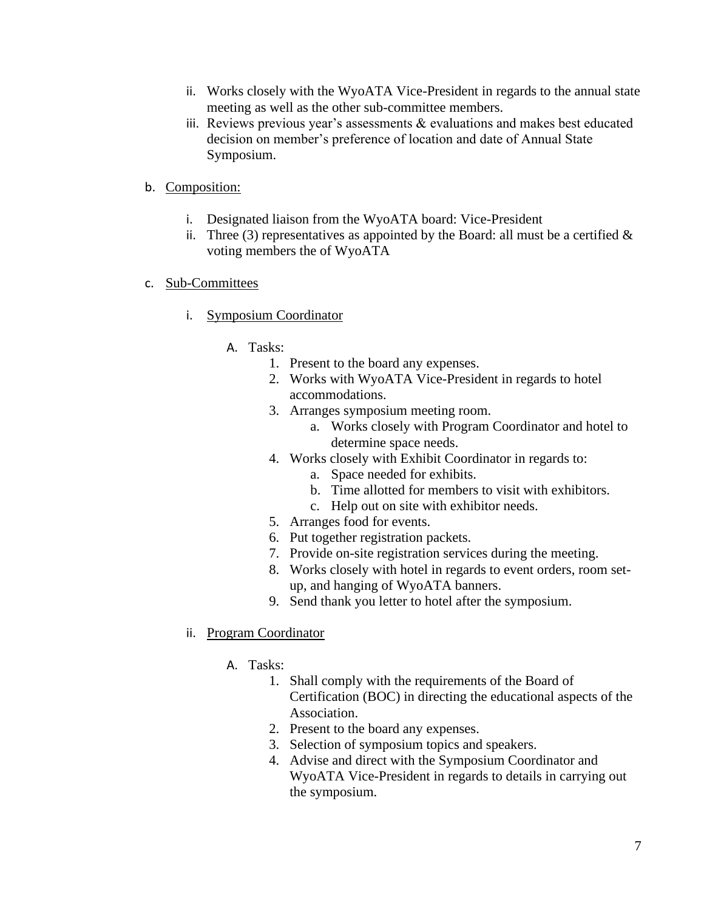- ii. Works closely with the WyoATA Vice-President in regards to the annual state meeting as well as the other sub-committee members.
- iii. Reviews previous year's assessments & evaluations and makes best educated decision on member's preference of location and date of Annual State Symposium.

### b. Composition:

- i. Designated liaison from the WyoATA board: Vice-President
- ii. Three (3) representatives as appointed by the Board: all must be a certified  $\&$ voting members the of WyoATA

### c. Sub-Committees

- i. Symposium Coordinator
	- A. Tasks:
		- 1. Present to the board any expenses.
		- 2. Works with WyoATA Vice-President in regards to hotel accommodations.
		- 3. Arranges symposium meeting room.
			- a. Works closely with Program Coordinator and hotel to determine space needs.
		- 4. Works closely with Exhibit Coordinator in regards to:
			- a. Space needed for exhibits.
			- b. Time allotted for members to visit with exhibitors.
			- c. Help out on site with exhibitor needs.
		- 5. Arranges food for events.
		- 6. Put together registration packets.
		- 7. Provide on-site registration services during the meeting.
		- 8. Works closely with hotel in regards to event orders, room setup, and hanging of WyoATA banners.
		- 9. Send thank you letter to hotel after the symposium.

### ii. Program Coordinator

### A. Tasks:

- 1. Shall comply with the requirements of the Board of Certification (BOC) in directing the educational aspects of the Association.
- 2. Present to the board any expenses.
- 3. Selection of symposium topics and speakers.
- 4. Advise and direct with the Symposium Coordinator and WyoATA Vice-President in regards to details in carrying out the symposium.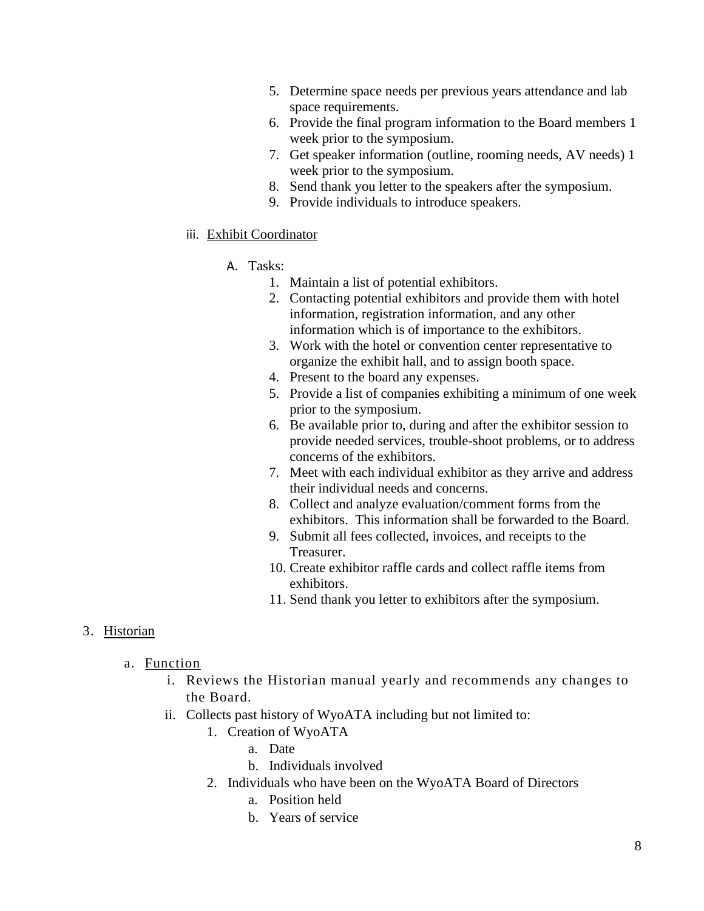- 5. Determine space needs per previous years attendance and lab space requirements.
- 6. Provide the final program information to the Board members 1 week prior to the symposium.
- 7. Get speaker information (outline, rooming needs, AV needs) 1 week prior to the symposium.
- 8. Send thank you letter to the speakers after the symposium.
- 9. Provide individuals to introduce speakers.

#### iii. Exhibit Coordinator

- A. Tasks:
	- 1. Maintain a list of potential exhibitors.
	- 2. Contacting potential exhibitors and provide them with hotel information, registration information, and any other information which is of importance to the exhibitors.
	- 3. Work with the hotel or convention center representative to organize the exhibit hall, and to assign booth space.
	- 4. Present to the board any expenses.
	- 5. Provide a list of companies exhibiting a minimum of one week prior to the symposium.
	- 6. Be available prior to, during and after the exhibitor session to provide needed services, trouble-shoot problems, or to address concerns of the exhibitors.
	- 7. Meet with each individual exhibitor as they arrive and address their individual needs and concerns.
	- 8. Collect and analyze evaluation/comment forms from the exhibitors. This information shall be forwarded to the Board.
	- 9. Submit all fees collected, invoices, and receipts to the Treasurer.
	- 10. Create exhibitor raffle cards and collect raffle items from exhibitors.
	- 11. Send thank you letter to exhibitors after the symposium.

#### 3. Historian

- a. Function
	- i. Reviews the Historian manual yearly and recommends any changes to the Board.
	- ii. Collects past history of WyoATA including but not limited to:
		- 1. Creation of WyoATA
			- a. Date
			- b. Individuals involved
			- 2. Individuals who have been on the WyoATA Board of Directors
				- a. Position held
				- b. Years of service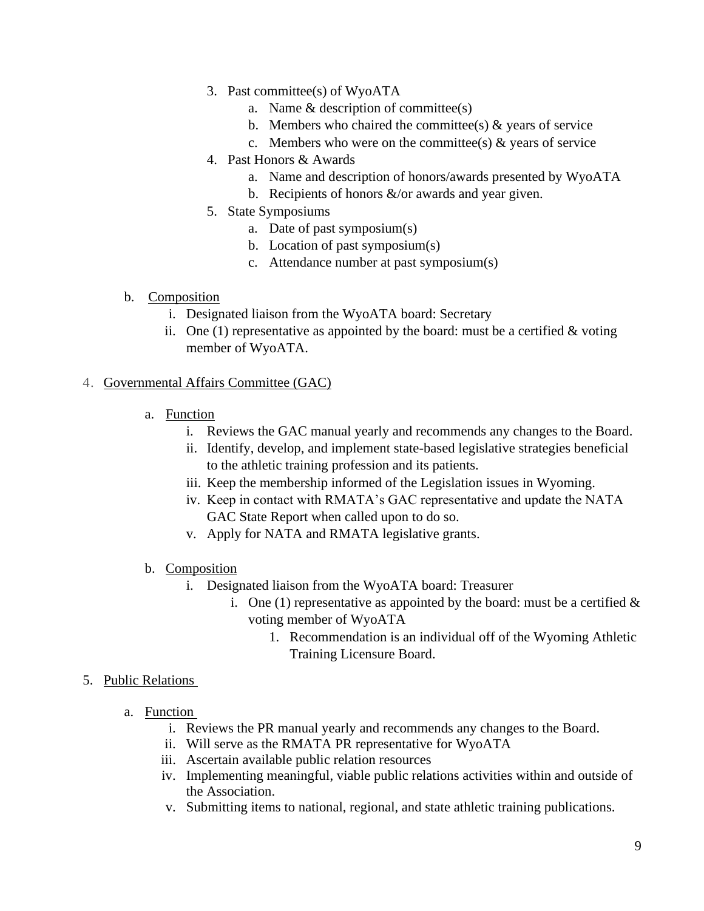- 3. Past committee(s) of WyoATA
	- a. Name & description of committee(s)
	- b. Members who chaired the committee(s)  $\&$  years of service
	- c. Members who were on the committee(s)  $\&$  years of service
- 4. Past Honors & Awards
	- a. Name and description of honors/awards presented by WyoATA
	- b. Recipients of honors  $\&$ /or awards and year given.
- 5. State Symposiums
	- a. Date of past symposium(s)
	- b. Location of past symposium(s)
	- c. Attendance number at past symposium(s)
- b. Composition
	- i. Designated liaison from the WyoATA board: Secretary
	- ii. One  $(1)$  representative as appointed by the board: must be a certified  $\&$  voting member of WyoATA.

# 4. Governmental Affairs Committee (GAC)

- a. Function
	- i. Reviews the GAC manual yearly and recommends any changes to the Board.
	- ii. Identify, develop, and implement state-based legislative strategies beneficial to the athletic training profession and its patients.
	- iii. Keep the membership informed of the Legislation issues in Wyoming.
	- iv. Keep in contact with RMATA's GAC representative and update the NATA GAC State Report when called upon to do so.
	- v. Apply for NATA and RMATA legislative grants.
- b. Composition
	- i. Designated liaison from the WyoATA board: Treasurer
		- i. One (1) representative as appointed by the board: must be a certified  $\&$ voting member of WyoATA
			- 1. Recommendation is an individual off of the Wyoming Athletic Training Licensure Board.

# 5. Public Relations

- a. Function
	- i. Reviews the PR manual yearly and recommends any changes to the Board.
	- ii. Will serve as the RMATA PR representative for WyoATA
	- iii. Ascertain available public relation resources
	- iv. Implementing meaningful, viable public relations activities within and outside of the Association.
	- v. Submitting items to national, regional, and state athletic training publications.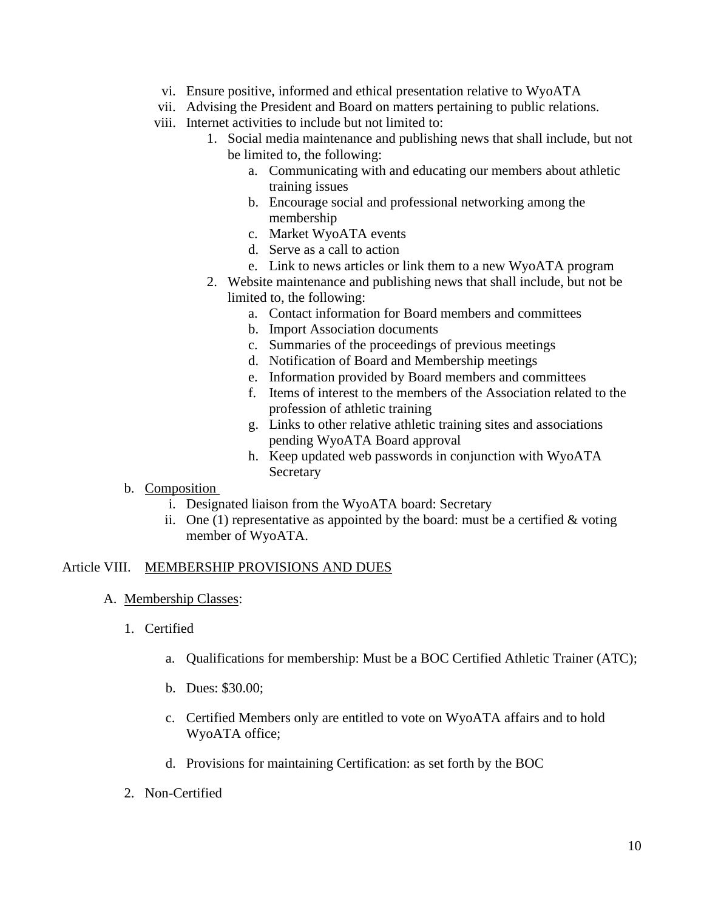- vi. Ensure positive, informed and ethical presentation relative to WyoATA
- vii. Advising the President and Board on matters pertaining to public relations.
- viii. Internet activities to include but not limited to:
	- 1. Social media maintenance and publishing news that shall include, but not be limited to, the following:
		- a. Communicating with and educating our members about athletic training issues
		- b. Encourage social and professional networking among the membership
		- c. Market WyoATA events
		- d. Serve as a call to action
		- e. Link to news articles or link them to a new WyoATA program
	- 2. Website maintenance and publishing news that shall include, but not be limited to, the following:
		- a. Contact information for Board members and committees
		- b. Import Association documents
		- c. Summaries of the proceedings of previous meetings
		- d. Notification of Board and Membership meetings
		- e. Information provided by Board members and committees
		- f. Items of interest to the members of the Association related to the profession of athletic training
		- g. Links to other relative athletic training sites and associations pending WyoATA Board approval
		- h. Keep updated web passwords in conjunction with WyoATA Secretary
- b. Composition
	- i. Designated liaison from the WyoATA board: Secretary
	- ii. One (1) representative as appointed by the board: must be a certified  $&$  voting member of WyoATA.

#### Article VIII. MEMBERSHIP PROVISIONS AND DUES

#### A. Membership Classes:

- 1. Certified
	- a. Qualifications for membership: Must be a BOC Certified Athletic Trainer (ATC);
	- b. Dues: \$30.00;
	- c. Certified Members only are entitled to vote on WyoATA affairs and to hold WyoATA office;
	- d. Provisions for maintaining Certification: as set forth by the BOC
- 2. Non-Certified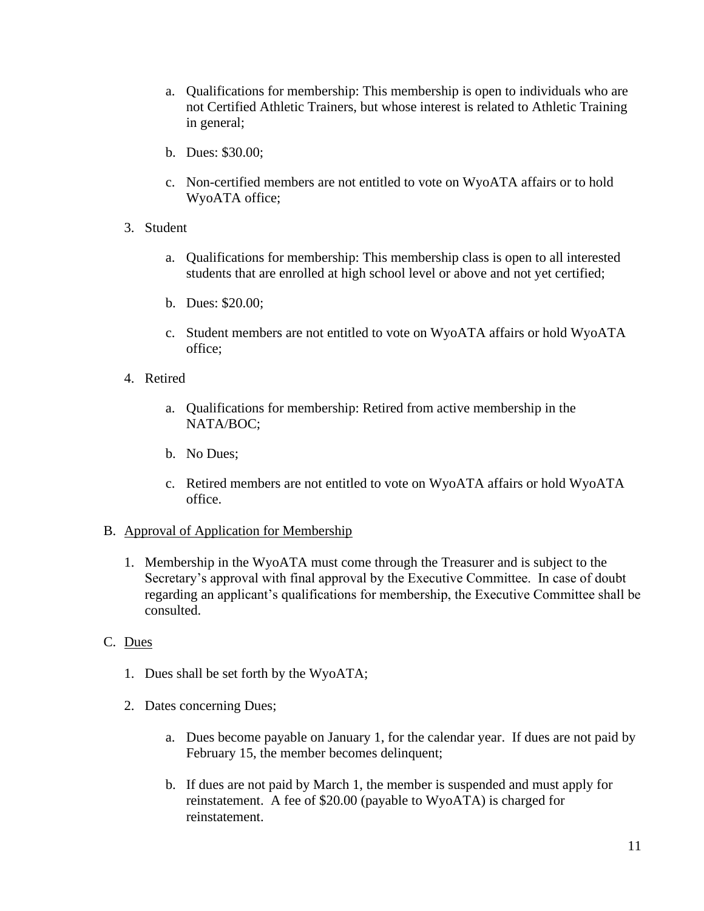- a. Qualifications for membership: This membership is open to individuals who are not Certified Athletic Trainers, but whose interest is related to Athletic Training in general;
- b. Dues: \$30.00;
- c. Non-certified members are not entitled to vote on WyoATA affairs or to hold WyoATA office;
- 3. Student
	- a. Qualifications for membership: This membership class is open to all interested students that are enrolled at high school level or above and not yet certified;
	- b. Dues: \$20.00;
	- c. Student members are not entitled to vote on WyoATA affairs or hold WyoATA office;
- 4. Retired
	- a. Qualifications for membership: Retired from active membership in the NATA/BOC;
	- b. No Dues;
	- c. Retired members are not entitled to vote on WyoATA affairs or hold WyoATA office.

#### B. Approval of Application for Membership

1. Membership in the WyoATA must come through the Treasurer and is subject to the Secretary's approval with final approval by the Executive Committee. In case of doubt regarding an applicant's qualifications for membership, the Executive Committee shall be consulted.

### C. Dues

- 1. Dues shall be set forth by the WyoATA;
- 2. Dates concerning Dues;
	- a. Dues become payable on January 1, for the calendar year. If dues are not paid by February 15, the member becomes delinquent;
	- b. If dues are not paid by March 1, the member is suspended and must apply for reinstatement. A fee of \$20.00 (payable to WyoATA) is charged for reinstatement.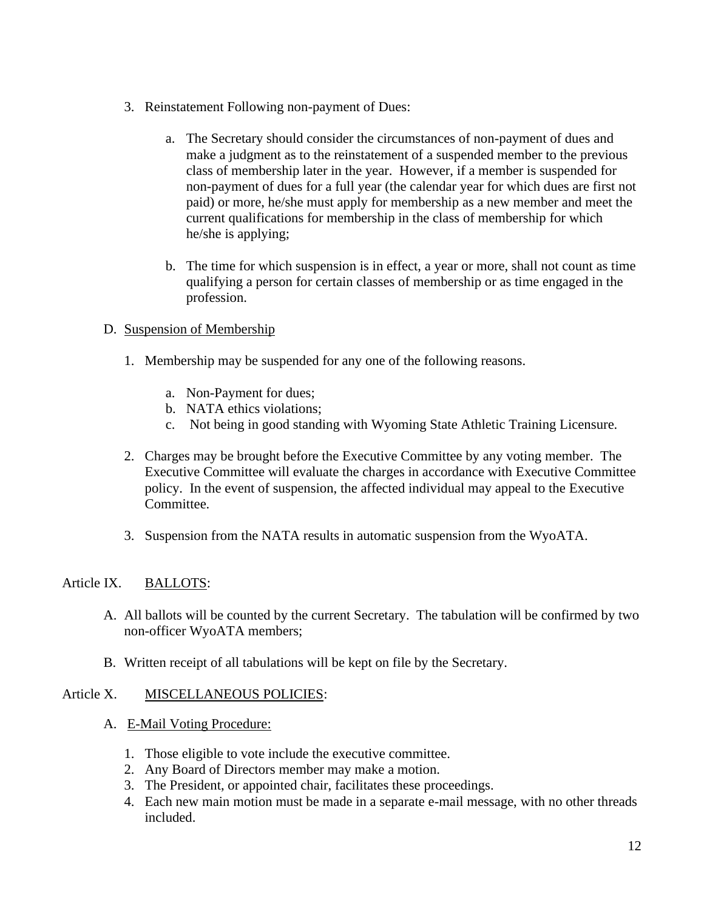- 3. Reinstatement Following non-payment of Dues:
	- a. The Secretary should consider the circumstances of non-payment of dues and make a judgment as to the reinstatement of a suspended member to the previous class of membership later in the year. However, if a member is suspended for non-payment of dues for a full year (the calendar year for which dues are first not paid) or more, he/she must apply for membership as a new member and meet the current qualifications for membership in the class of membership for which he/she is applying;
	- b. The time for which suspension is in effect, a year or more, shall not count as time qualifying a person for certain classes of membership or as time engaged in the profession.

# D. Suspension of Membership

- 1. Membership may be suspended for any one of the following reasons.
	- a. Non-Payment for dues;
	- b. NATA ethics violations;
	- c. Not being in good standing with Wyoming State Athletic Training Licensure.
- 2. Charges may be brought before the Executive Committee by any voting member. The Executive Committee will evaluate the charges in accordance with Executive Committee policy. In the event of suspension, the affected individual may appeal to the Executive Committee.
- 3. Suspension from the NATA results in automatic suspension from the WyoATA.

# Article IX. BALLOTS:

- A. All ballots will be counted by the current Secretary. The tabulation will be confirmed by two non-officer WyoATA members;
- B. Written receipt of all tabulations will be kept on file by the Secretary.

### Article X. MISCELLANEOUS POLICIES:

- A. E-Mail Voting Procedure:
	- 1. Those eligible to vote include the executive committee.
	- 2. Any Board of Directors member may make a motion.
	- 3. The President, or appointed chair, facilitates these proceedings.
	- 4. Each new main motion must be made in a separate e-mail message, with no other threads included.